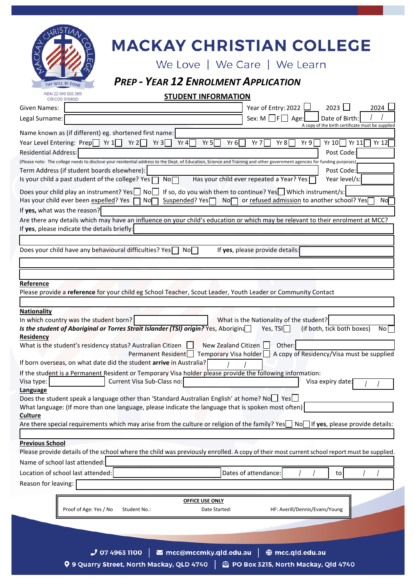

# **MACKAY CHRISTIAN COLLEGE**

We Love | We Care | We Learn

# *PREP - YEAR 12 ENROLMENT APPLICATION*

**STUDENT INFORMATION**

| Given Names:                                                                                                                                                                    | $2023$ $\Box$<br>Year of Entry: 2022<br>2024                                                                                       |
|---------------------------------------------------------------------------------------------------------------------------------------------------------------------------------|------------------------------------------------------------------------------------------------------------------------------------|
| Legal Surname:                                                                                                                                                                  | Sex: $M \Box F \Box$ Age:<br>Date of Birth                                                                                         |
| Name known as (if different) eg. shortened first name:                                                                                                                          | A copy of the birth certificate must be supplied                                                                                   |
| Year Level Entering: Prep $\Box$ Yr $1\Box$ Yr $2\Box$<br>Yr $3$<br>Yr 4<br>Yr 5 $\sqrt{ }$<br>Yr 6                                                                             | Yr 10 $\Box$ Yr 11 $\Box$ Yr 12<br>Yr 8<br>Yr 7<br>Yr 9                                                                            |
| <b>Residential Address:</b>                                                                                                                                                     | Post Code:                                                                                                                         |
| (Please note: The college needs to disclose your residential address to the Dept. of Education, Science and Training and other government agencies for funding purposes)        |                                                                                                                                    |
| Term Address (if student boards elsewhere):                                                                                                                                     | Post Code:                                                                                                                         |
| Is your child a past student of the college? Yes [<br>No <sub>1</sub>                                                                                                           | Has your child ever repeated a Year? Yes<br>Year level/s:                                                                          |
| Does your child play an instrument? Yes   No<br>Has your child ever been expelled? Yes  <br>No∏<br>Suspended? Yes $\Box$                                                        | If so, do you wish them to continue? Yes Which instrument/s:<br>No□ or refused admission to another school? Yes<br>No <sub>D</sub> |
| If yes, what was the reason?                                                                                                                                                    |                                                                                                                                    |
| Are there any details which may have an influence on your child's education or which may be relevant to their enrolment at MCC?<br>If yes, please indicate the details briefly: |                                                                                                                                    |
| Does your child have any behavioural difficulties? Yes<br>$No \Box$                                                                                                             | If yes, please provide details:                                                                                                    |
|                                                                                                                                                                                 |                                                                                                                                    |
| Reference                                                                                                                                                                       |                                                                                                                                    |
| Please provide a reference for your child eg School Teacher, Scout Leader, Youth Leader or Community Contact                                                                    |                                                                                                                                    |
| <b>Nationality</b>                                                                                                                                                              |                                                                                                                                    |
| In which country was the student born?                                                                                                                                          | What is the Nationality of the student?                                                                                            |
| Is the student of Aboriginal or Torres Strait Islander (TSI) origin? Yes, Aborigina                                                                                             | Yes, $TSI$<br>(if both, tick both boxes)<br>Nol                                                                                    |
| Residency<br>New Zealand Citizen<br>What is the student's residency status? Australian Citizen $\Box$                                                                           | Other:                                                                                                                             |
|                                                                                                                                                                                 | Permanent Resident   Temporary Visa holder   A copy of Residency/Visa must be supplied                                             |
| If born overseas, on what date did the student arrive in Australia?                                                                                                             |                                                                                                                                    |
| If the student is a Permanent Resident or Temporary Visa holder please provide the following information:                                                                       |                                                                                                                                    |
| Current Visa Sub-Class no:<br>Visa type:                                                                                                                                        | Visa expiry date:                                                                                                                  |
| Language<br>Does the student speak a language other than 'Standard Australian English' at home? No□ Yes□                                                                        |                                                                                                                                    |
| What language: (If more than one language, please indicate the language that is spoken most often)                                                                              |                                                                                                                                    |
| <u>Culture</u>                                                                                                                                                                  |                                                                                                                                    |
| Are there special requirements which may arise from the culture or religion of the family? Yes $\Box$ No $\Box$ If yes, please provide details:                                 |                                                                                                                                    |
| <b>Previous School</b>                                                                                                                                                          |                                                                                                                                    |
| Please provide details of the school where the child was previously enrolled. A copy of their most current school report must be supplied.                                      |                                                                                                                                    |
| Name of school last attended:                                                                                                                                                   |                                                                                                                                    |
| Location of school last attended:                                                                                                                                               | Dates of attendance:<br>to                                                                                                         |
| Reason for leaving:                                                                                                                                                             |                                                                                                                                    |
| <b>OFFICE USE ONLY</b>                                                                                                                                                          |                                                                                                                                    |
| Proof of Age: Yes / No<br>Student No.:<br>Date Started:                                                                                                                         | HF: Averill/Dennis/Evans/Young                                                                                                     |
|                                                                                                                                                                                 |                                                                                                                                    |
|                                                                                                                                                                                 |                                                                                                                                    |
|                                                                                                                                                                                 |                                                                                                                                    |
| $\blacktriangleright$ mcc@mccmky.qld.edu.au  <br>$J$ 07 4963 1100<br><b>Q</b> 9 Quarry Street, North Mackay, OLD 4740 $\parallel$ $\oplus$ PO Box 3215, North Mackay, Old 4740  | <b>♦ mcc.qld.edu.au</b>                                                                                                            |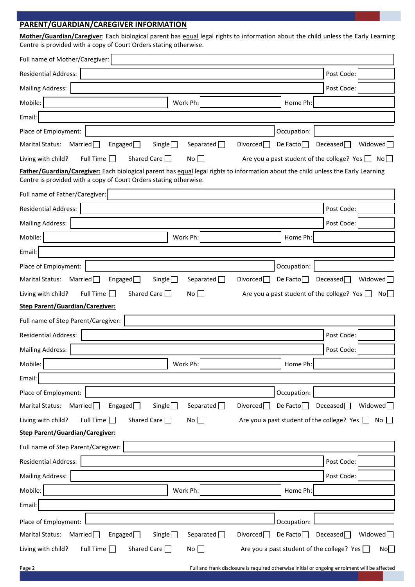# **PARENT/GUARDIAN/CAREGIVER INFORMATION**

**Mother/Guardian/Caregiver**: Each biological parent has equal legal rights to information about the child unless the Early Learning Centre is provided with a copy of Court Orders stating otherwise.

| Full name of Mother/Caregiver:                                                                                                                                                                         |                                    |
|--------------------------------------------------------------------------------------------------------------------------------------------------------------------------------------------------------|------------------------------------|
| <b>Residential Address:</b>                                                                                                                                                                            | Post Code:                         |
| <b>Mailing Address:</b>                                                                                                                                                                                | Post Code:                         |
| Mobile:<br>Work Ph:<br>Home Ph:                                                                                                                                                                        |                                    |
| Email:                                                                                                                                                                                                 |                                    |
| Place of Employment:<br>Occupation:                                                                                                                                                                    |                                    |
| Married $\Box$<br>Separated $\Box$<br>Divored<br><b>Marital Status:</b><br>Engaged $\Box$<br>De Facto $\Box$<br>Single $\Box$                                                                          | Widowed<br>Deceased                |
| Full Time [<br>Shared Care $\Box$<br>Are you a past student of the college? Yes $\Box$ No $\Box$<br>Living with child?<br>No <sub>1</sub><br>$\sim$                                                    |                                    |
| Father/Guardian/Caregiver: Each biological parent has equal legal rights to information about the child unless the Early Learning<br>Centre is provided with a copy of Court Orders stating otherwise. |                                    |
| Full name of Father/Caregiver:                                                                                                                                                                         |                                    |
| <b>Residential Address:</b>                                                                                                                                                                            | Post Code:                         |
| <b>Mailing Address:</b>                                                                                                                                                                                | Post Code:                         |
| Mobile:<br>Work Ph:<br>Home Ph:                                                                                                                                                                        |                                    |
| Email:                                                                                                                                                                                                 |                                    |
| Place of Employment:<br>Occupation:                                                                                                                                                                    |                                    |
| <b>Marital Status:</b><br>Married $\Box$<br>Separated $\Box$<br>De Facto<br>Engaged $\Box$<br>Single $\Box$<br>Divorced                                                                                | Deceased<br>Widowed <sup>[1]</sup> |
| Living with child?<br>Full Time $\Box$<br>Shared Care $\Box$<br>Are you a past student of the college? Yes $\Box$<br>No                                                                                | No                                 |
| <b>Step Parent/Guardian/Caregiver:</b>                                                                                                                                                                 |                                    |
| Full name of Step Parent/Caregiver:                                                                                                                                                                    |                                    |
| <b>Residential Address:</b>                                                                                                                                                                            | Post Code:                         |
| <b>Mailing Address:</b>                                                                                                                                                                                | Post Code:                         |
| Mobile:<br>Work Ph:<br>Home Ph:                                                                                                                                                                        |                                    |
| Email:                                                                                                                                                                                                 |                                    |
|                                                                                                                                                                                                        |                                    |
| Place of Employment:<br>Occupation:                                                                                                                                                                    |                                    |
| Separated $\Box$<br>Married $\Box$<br>Single<br>Divored<br>De Facto $\Box$<br><b>Marital Status:</b><br>Engaged $\Box$                                                                                 | Deceased<br>Widowed $\Box$         |
| Living with child?<br>Full Time $\square$<br>Shared Care $\Box$<br>No<br>Are you a past student of the college? Yes $\Box$                                                                             | No                                 |
| <b>Step Parent/Guardian/Caregiver:</b>                                                                                                                                                                 |                                    |
| Full name of Step Parent/Caregiver:                                                                                                                                                                    |                                    |
| <b>Residential Address:</b>                                                                                                                                                                            | Post Code:                         |
| <b>Mailing Address:</b>                                                                                                                                                                                | Post Code:                         |
| Mobile:<br>Home Ph:<br>Work Ph:                                                                                                                                                                        |                                    |
| Email:                                                                                                                                                                                                 |                                    |
| Place of Employment:<br>Occupation:                                                                                                                                                                    |                                    |
| <b>Marital Status:</b><br>Separated $\Box$<br>De Facto $\Box$<br>Married $\Box$<br>Engaged $\Box$<br>Single $\Box$<br>Divorced                                                                         | Widowed $\Box$<br>Deceased         |

Page 2 Full and frank disclosure is required otherwise initial or ongoing enrolment will be affected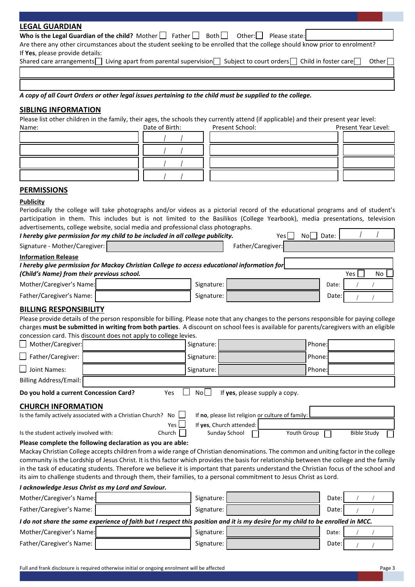| <b>LEGAL GUARDIAN</b>                                                          |                                                                                                                                                                                                                                                                                    |                                   |
|--------------------------------------------------------------------------------|------------------------------------------------------------------------------------------------------------------------------------------------------------------------------------------------------------------------------------------------------------------------------------|-----------------------------------|
| Who is the Legal Guardian of the child? Mother $\Box$ Father $\Box$            | Both<br>Other: $\Box$                                                                                                                                                                                                                                                              | Please state:                     |
| If Yes, please provide details:                                                | Are there any other circumstances about the student seeking to be enrolled that the college should know prior to enrolment?                                                                                                                                                        |                                   |
|                                                                                | Shared care arrangements living apart from parental supervision subject to court orders child in foster care                                                                                                                                                                       | Other $\sqrt{\phantom{a}}$        |
|                                                                                |                                                                                                                                                                                                                                                                                    |                                   |
|                                                                                |                                                                                                                                                                                                                                                                                    |                                   |
|                                                                                | A copy of all Court Orders or other legal issues pertaining to the child must be supplied to the college.                                                                                                                                                                          |                                   |
|                                                                                |                                                                                                                                                                                                                                                                                    |                                   |
| <b>SIBLING INFORMATION</b>                                                     |                                                                                                                                                                                                                                                                                    |                                   |
| Name:                                                                          | Please list other children in the family, their ages, the schools they currently attend (if applicable) and their present year level:<br>Date of Birth:<br>Present School:                                                                                                         | Present Year Level:               |
|                                                                                |                                                                                                                                                                                                                                                                                    |                                   |
|                                                                                |                                                                                                                                                                                                                                                                                    |                                   |
|                                                                                |                                                                                                                                                                                                                                                                                    |                                   |
|                                                                                |                                                                                                                                                                                                                                                                                    |                                   |
|                                                                                |                                                                                                                                                                                                                                                                                    |                                   |
| <b>PERMISSIONS</b>                                                             |                                                                                                                                                                                                                                                                                    |                                   |
| <b>Publicity</b>                                                               |                                                                                                                                                                                                                                                                                    |                                   |
|                                                                                | Periodically the college will take photographs and/or videos as a pictorial record of the educational programs and of student's                                                                                                                                                    |                                   |
|                                                                                | participation in them. This includes but is not limited to the Basilikos (College Yearbook), media presentations, television                                                                                                                                                       |                                   |
|                                                                                | advertisements, college website, social media and professional class photographs.                                                                                                                                                                                                  |                                   |
| I hereby give permission for my child to be included in all college publicity. | Yes                                                                                                                                                                                                                                                                                | $No \Box$ Date:                   |
| Signature - Mother/Caregiver:                                                  | Father/Caregiver:                                                                                                                                                                                                                                                                  |                                   |
| <b>Information Release</b>                                                     |                                                                                                                                                                                                                                                                                    |                                   |
| (Child's Name) from their previous school.                                     | I hereby give permission for Mackay Christian College to access educational information for                                                                                                                                                                                        | Yes<br>No                         |
| Mother/Caregiver's Name:                                                       | Signature:                                                                                                                                                                                                                                                                         | Date:                             |
| Father/Caregiver's Name:                                                       | Signature:                                                                                                                                                                                                                                                                         | Date:                             |
|                                                                                |                                                                                                                                                                                                                                                                                    |                                   |
| <b>BILLING RESPONSIBILITY</b>                                                  |                                                                                                                                                                                                                                                                                    |                                   |
|                                                                                | Please provide details of the person responsible for billing. Please note that any changes to the persons responsible for paying college<br>charges must be submitted in writing from both parties. A discount on school fees is available for parents/caregivers with an eligible |                                   |
| concession card. This discount does not apply to college levies.               |                                                                                                                                                                                                                                                                                    |                                   |
| Mother/Caregiver:                                                              | Signature:                                                                                                                                                                                                                                                                         | Phone:                            |
| Father/Caregiver:                                                              | Signature:                                                                                                                                                                                                                                                                         | Phone:                            |
| Joint Names:                                                                   | Signature:                                                                                                                                                                                                                                                                         | Phone:                            |
| <b>Billing Address/Email:</b>                                                  |                                                                                                                                                                                                                                                                                    |                                   |
| Do you hold a current Concession Card?                                         | No<br>If yes, please supply a copy.<br>Yes                                                                                                                                                                                                                                         |                                   |
| <b>CHURCH INFORMATION</b>                                                      |                                                                                                                                                                                                                                                                                    |                                   |
| Is the family actively associated with a Christian Church? No $\Box$           | If no, please list religion or culture of family:                                                                                                                                                                                                                                  |                                   |
|                                                                                | If yes, Church attended:<br><b>Yes</b>                                                                                                                                                                                                                                             |                                   |
| Is the student actively involved with:                                         | Sunday School<br>Church                                                                                                                                                                                                                                                            | Youth Group<br><b>Bible Study</b> |
| Please complete the following declaration as you are able:                     |                                                                                                                                                                                                                                                                                    |                                   |
|                                                                                | Mackay Christian College accepts children from a wide range of Christian denominations. The common and uniting factor in the college                                                                                                                                               |                                   |
|                                                                                | community is the Lordship of Jesus Christ. It is this factor which provides the basis for relationship between the college and the family<br>in the task of educating students. Therefore we believe it is important that parents understand the Christian focus of the school and |                                   |
|                                                                                | its aim to challenge students and through them, their families, to a personal commitment to Jesus Christ as Lord.                                                                                                                                                                  |                                   |

| I acknowledge Jesus Christ as my Lord and Saviour.                                                                              |  |            |  |       |  |  |  |
|---------------------------------------------------------------------------------------------------------------------------------|--|------------|--|-------|--|--|--|
| Mother/Caregiver's Name:                                                                                                        |  | Signature: |  | Date: |  |  |  |
| Father/Caregiver's Name:                                                                                                        |  | Signature: |  | Date: |  |  |  |
| I do not share the same experience of faith but I respect this position and it is my desire for my child to be enrolled in MCC. |  |            |  |       |  |  |  |
|                                                                                                                                 |  |            |  |       |  |  |  |
| Mother/Caregiver's Name:                                                                                                        |  | Signature: |  | Date: |  |  |  |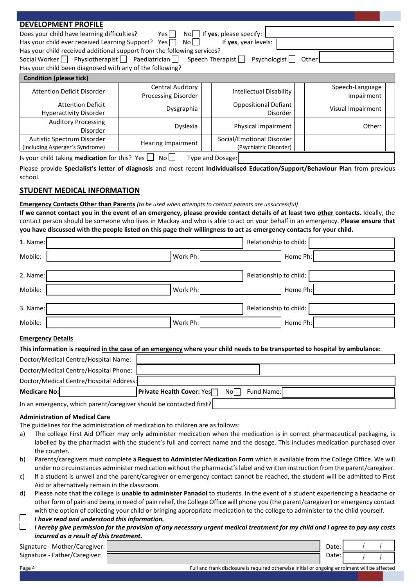## **DEVELOPMENT PROFILE**

Does your child have learning difficulties? Yes No I Has your child ever received Learning Support? Yes  $\Box$  No  $\Box$ 

|   |  | $\Box$ If <b>yes</b> , please specify: |  |
|---|--|----------------------------------------|--|
| П |  | If you your love                       |  |

Has your child received additional support from the following services? Social Worker Physiotherapist Paediatrician Speech Therapist Psychologist Other Has your child been diagnosed with any of the following?

| <b>Condition (please tick)</b>                                |                                                |                                                     |                               |
|---------------------------------------------------------------|------------------------------------------------|-----------------------------------------------------|-------------------------------|
| Attention Deficit Disorder                                    | <b>Central Auditory</b><br>Processing Disorder | <b>Intellectual Disability</b>                      | Speech-Language<br>Impairment |
| Attention Deficit<br><b>Hyperactivity Disorder</b>            | Dysgraphia                                     | <b>Oppositional Defiant</b><br>Disorder             | Visual Impairment             |
| <b>Auditory Processing</b><br><b>Disorder</b>                 | <b>Dyslexia</b>                                | Physical Impairment                                 | Other:                        |
| Autistic Spectrum Disorder<br>(including Asperger's Syndrome) | Hearing Impairment                             | Social/Emotional Disorder<br>(Psychiatric Disorder) |                               |
|                                                               |                                                |                                                     |                               |

Is your child taking **medication** for this? Yes  $\Box$  No  $\Box$  Type and Dosage:

Please provide **Specialist's letter of diagnosis** and most recent **Individualised Education/Support/Behaviour Plan** from previous school.

# **STUDENT MEDICAL INFORMATION**

#### **Emergency Contacts Other than Parents** *(to be used when attempts to contact parents are unsuccessful)*

**If we cannot contact you in the event of an emergency, please provide contact details of at least two other contacts.** Ideally, the contact person should be someone who lives in Mackay and who is able to act on your behalf in an emergency. **Please ensure that you have discussed with the people listed on this page their willingness to act as emergency contacts for your child.**

| 1. Name: |          | Relationship to child: |
|----------|----------|------------------------|
| Mobile:  | Work Ph: | Home Ph:               |
|          |          |                        |
| 2. Name: |          | Relationship to child: |
| Mobile:  | Work Ph: | Home Ph:               |
|          |          |                        |
| 3. Name: |          | Relationship to child: |
| Mobile:  | Work Ph: | Home Ph:               |

#### **Emergency Details**

#### **This information is required in the case of an emergency where your child needs to be transported to hospital by ambulance:**

| Doctor/Medical Centre/Hospital Name:    |                                          |            |
|-----------------------------------------|------------------------------------------|------------|
| Doctor/Medical Centre/Hospital Phone:   |                                          |            |
| Doctor/Medical Centre/Hospital Address: |                                          |            |
| <b>Medicare No:</b>                     | <b>Private Health Cover: Yes</b><br>No l | Fund Name: |
|                                         |                                          |            |

In an emergency, which parent/caregiver should be contacted first?

#### **Administration of Medical Care**

The guidelines for the administration of medication to children are as follows:

- a) The college First Aid Officer may only administer medication when the medication is in correct pharmaceutical packaging, is labelled by the pharmacist with the student's full and correct name and the dosage. This includes medication purchased over the counter.
- b) Parents/caregivers must complete a **Request to Administer Medication Form** which is available from the College Office. We will under no circumstances administer medication without the pharmacist's label and written instruction from the parent/caregiver.
- c) If a student is unwell and the parent/caregiver or emergency contact cannot be reached, the student will be admitted to First Aid or alternatively remain in the classroom.
- d) Please note that the college is **unable to administer Panadol** to students. In the event of a student experiencing a headache or other form of pain and being in need of pain relief, the College Office will phone you (the parent/caregiver) or emergency contact with the option of collecting your child or bringing appropriate medication to the college to administer to the child yourself.
	- *I have read and understood this information.*
	- *I hereby give permission for the provision of any necessary urgent medical treatment for my child and I agree to pay any costs incurred as a result of this treatment.*

| Signature - Mother/Caregiver: | Date: |  |
|-------------------------------|-------|--|
| Signature - Father/Caregiver: | Date: |  |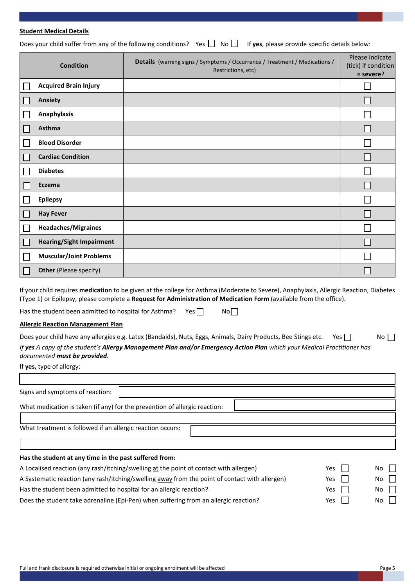#### **Student Medical Details**

Does your child suffer from any of the following conditions? Yes  $\Box$  No  $\Box$  If yes, please provide specific details below:

| <b>Condition</b>                | Details (warning signs / Symptoms / Occurrence / Treatment / Medications /<br>Restrictions, etc) | Please indicate<br>(tick) if condition<br>is severe? |
|---------------------------------|--------------------------------------------------------------------------------------------------|------------------------------------------------------|
| <b>Acquired Brain Injury</b>    |                                                                                                  |                                                      |
| Anxiety                         |                                                                                                  |                                                      |
| <b>Anaphylaxis</b>              |                                                                                                  |                                                      |
| Asthma                          |                                                                                                  |                                                      |
| <b>Blood Disorder</b>           |                                                                                                  |                                                      |
| <b>Cardiac Condition</b>        |                                                                                                  |                                                      |
| <b>Diabetes</b>                 |                                                                                                  |                                                      |
| Eczema                          |                                                                                                  |                                                      |
| <b>Epilepsy</b>                 |                                                                                                  |                                                      |
| <b>Hay Fever</b>                |                                                                                                  |                                                      |
| <b>Headaches/Migraines</b>      |                                                                                                  |                                                      |
| <b>Hearing/Sight Impairment</b> |                                                                                                  |                                                      |
| <b>Muscular/Joint Problems</b>  |                                                                                                  |                                                      |
| <b>Other</b> (Please specify)   |                                                                                                  |                                                      |

If your child requires **medication** to be given at the college for Asthma (Moderate to Severe), Anaphylaxis, Allergic Reaction, Diabetes (Type 1) or Epilepsy, please complete a **Request for Administration of Medication Form** (available from the office).

Has the student been admitted to hospital for Asthma? Yes  $\Box$  No $\Box$ 

#### **Allergic Reaction Management Plan**

| Does your child have any allergies e.g. Latex (Bandaids), Nuts, Eggs, Animals, Dairy Products, Bee Stings etc.<br>Yes II | No |
|--------------------------------------------------------------------------------------------------------------------------|----|
| If yes A copy of the student's Allergy Management Plan and/or Emergency Action Plan which your Medical Practitioner has  |    |
| documented <b>must be provided</b> .                                                                                     |    |

If **yes,** type of allergy:

п

| Signs and symptoms of reaction:                                                                |     |           |
|------------------------------------------------------------------------------------------------|-----|-----------|
| What medication is taken (if any) for the prevention of allergic reaction:                     |     |           |
|                                                                                                |     |           |
| What treatment is followed if an allergic reaction occurs:                                     |     |           |
|                                                                                                |     |           |
| Has the student at any time in the past suffered from:                                         |     |           |
| A Localised reaction (any rash/itching/swelling at the point of contact with allergen)         | Yes | No $\Box$ |
| A Systematic reaction (any rash/itching/swelling away from the point of contact with allergen) | Yes | No.       |

Has the student been admitted to hospital for an allergic reaction? The Most Communication of the SNO No

Does the student take adrenaline (Epi-Pen) when suffering from an allergic reaction?  $Yes$   $\Box$  Yes No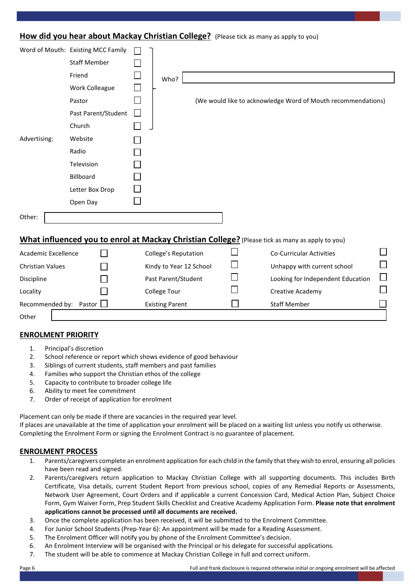# **How did you hear about Mackay Christian College?** (Please tick as many as apply to you)

|                         | Word of Mouth: Existing MCC Family |                             |                                                                                                 |  |
|-------------------------|------------------------------------|-----------------------------|-------------------------------------------------------------------------------------------------|--|
|                         | <b>Staff Member</b>                |                             |                                                                                                 |  |
|                         | Friend                             | Who?                        |                                                                                                 |  |
|                         | Work Colleague                     |                             |                                                                                                 |  |
|                         | Pastor                             |                             | (We would like to acknowledge Word of Mouth recommendations)                                    |  |
|                         | Past Parent/Student                |                             |                                                                                                 |  |
|                         | Church                             |                             |                                                                                                 |  |
| Advertising:            | Website                            |                             |                                                                                                 |  |
|                         | Radio                              |                             |                                                                                                 |  |
|                         | Television                         |                             |                                                                                                 |  |
|                         | Billboard                          |                             |                                                                                                 |  |
|                         | Letter Box Drop                    |                             |                                                                                                 |  |
|                         | Open Day                           |                             |                                                                                                 |  |
| Other:                  |                                    |                             |                                                                                                 |  |
|                         |                                    |                             |                                                                                                 |  |
|                         |                                    |                             | What influenced you to enrol at Mackay Christian College? (Please tick as many as apply to you) |  |
| Academic Excellence     |                                    | <b>College's Reputation</b> | <b>Co-Curricular Activities</b>                                                                 |  |
| <b>Christian Values</b> |                                    | Kindy to Year 12 School     | Unhappy with current school                                                                     |  |
| Discipline              |                                    | Past Parent/Student         | Looking for Independent Education                                                               |  |
| Locality                |                                    | <b>College Tour</b>         | Creative Academy                                                                                |  |
| Recommended by: Pastor  |                                    | <b>Existing Parent</b>      | <b>Staff Member</b>                                                                             |  |

**Other** 

# **ENROLMENT PRIORITY**

- 1. Principal's discretion
- 2. School reference or report which shows evidence of good behaviour
- 3. Siblings of current students, staff members and past families
- 4. Families who support the Christian ethos of the college
- 5. Capacity to contribute to broader college life
- 6. Ability to meet fee commitment
- 7. Order of receipt of application for enrolment

Placement can only be made if there are vacancies in the required year level. If places are unavailable at the time of application your enrolment will be placed on a waiting list unless you notify us otherwise. Completing the Enrolment Form or signing the Enrolment Contract is no guarantee of placement.

# **ENROLMENT PROCESS**

- 1. Parents/caregivers complete an enrolment application for each child in the family that they wish to enrol, ensuring all policies have been read and signed.
- 2. Parents/caregivers return application to Mackay Christian College with all supporting documents. This includes Birth Certificate, Visa details, current Student Report from previous school, copies of any Remedial Reports or Assessments, Network User Agreement, Court Orders and if applicable a current Concession Card, Medical Action Plan, Subject Choice Form, Gym Waiver Form, Prep Student Skills Checklist and Creative Academy Application Form. **Please note that enrolment applications cannot be processed until all documents are received.**
- 3. Once the complete application has been received, it will be submitted to the Enrolment Committee.
- 4. For Junior School Students (Prep-Year 6): An appointment will be made for a Reading Assessment.
- 5. The Enrolment Officer will notify you by phone of the Enrolment Committee's decision.
- 6. An Enrolment Interview will be organised with the Principal or his delegate for successful applications.
- 7. The student will be able to commence at Mackay Christian College in full and correct uniform.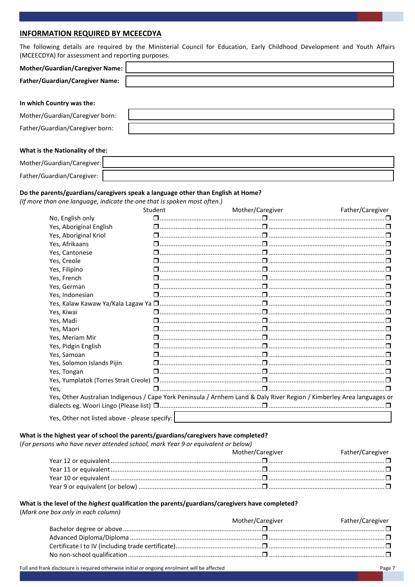## **INFORMATION REQUIRED BY MCEECDYA**

| The following details are required by the Ministerial Council for Education, Early Childhood Development and Youth Affairs<br>(MCEECDYA) for assessment and reporting purposes. |  |  |  |  |  |
|---------------------------------------------------------------------------------------------------------------------------------------------------------------------------------|--|--|--|--|--|
| <b>Mother/Guardian/Caregiver Name:</b>                                                                                                                                          |  |  |  |  |  |
| <b>Father/Guardian/Caregiver Name:</b>                                                                                                                                          |  |  |  |  |  |
| In which Country was the:                                                                                                                                                       |  |  |  |  |  |
| Mother/Guardian/Caregiver born:                                                                                                                                                 |  |  |  |  |  |
| Father/Guardian/Caregiver born:                                                                                                                                                 |  |  |  |  |  |
| What is the Nationality of the:                                                                                                                                                 |  |  |  |  |  |
| Mother/Guardian/Caregiver:                                                                                                                                                      |  |  |  |  |  |
| Father/Guardian/Caregiver:                                                                                                                                                      |  |  |  |  |  |

#### Do the parents/guardians/caregivers speak a language other than English at Home?

(If more than one language, indicate the one that is spoken most often.)

|                                               | Student | Mother/Caregiver                                                                                                       | Father/Caregiver |
|-----------------------------------------------|---------|------------------------------------------------------------------------------------------------------------------------|------------------|
| No, English only                              |         |                                                                                                                        |                  |
| Yes, Aboriginal English                       |         |                                                                                                                        |                  |
| Yes, Aboriginal Kriol                         |         |                                                                                                                        |                  |
| Yes, Afrikaans                                |         |                                                                                                                        |                  |
| Yes, Cantonese                                |         |                                                                                                                        |                  |
| Yes, Creole                                   |         |                                                                                                                        |                  |
| Yes, Filipino                                 |         |                                                                                                                        |                  |
| Yes, French                                   |         |                                                                                                                        |                  |
| Yes, German                                   |         |                                                                                                                        |                  |
| Yes, Indonesian                               |         |                                                                                                                        |                  |
|                                               |         |                                                                                                                        |                  |
| Yes, Kiwai                                    |         |                                                                                                                        |                  |
| Yes, Madi                                     |         |                                                                                                                        |                  |
| Yes, Maori                                    |         |                                                                                                                        |                  |
| Yes, Meriam Mir                               |         |                                                                                                                        |                  |
| Yes, Pidgin English                           |         |                                                                                                                        |                  |
| Yes, Samoan                                   |         |                                                                                                                        |                  |
| Yes, Solomon Islands Pijin                    |         |                                                                                                                        |                  |
| Yes, Tongan                                   |         |                                                                                                                        |                  |
|                                               |         |                                                                                                                        |                  |
| Yes,                                          |         |                                                                                                                        |                  |
|                                               |         | Yes, Other Australian Indigenous / Cape York Peninsula / Arnhem Land & Daly River Region / Kimberley Area languages or |                  |
|                                               |         |                                                                                                                        |                  |
| Yes, Other not listed above - please specify: |         |                                                                                                                        |                  |

#### What is the highest year of school the parents/guardians/caregivers have completed?

(For persons who have never attended school, mark Year 9 or equivalent or below)

|                                                                                                                                                                                                                               | Mother/Caregiver | Father/Caregiver |
|-------------------------------------------------------------------------------------------------------------------------------------------------------------------------------------------------------------------------------|------------------|------------------|
| D manufacture measurement of the contract of the contract of the contract of the contract of the contract of the contract of the Year 12 or equivalent measurement of the contract of the contract of the contract of the con |                  |                  |
|                                                                                                                                                                                                                               |                  |                  |
| D mean 10 or equivalent measurement contracts and contracts are determined and contracts are determined and the Version of Discovering C                                                                                      |                  |                  |
|                                                                                                                                                                                                                               |                  |                  |

#### What is the level of the highest qualification the parents/guardians/caregivers have completed?

(Mark one box only in each column)

| Mother/Caregiver | Father/Caregiver |
|------------------|------------------|
|                  |                  |
|                  |                  |
|                  |                  |
|                  |                  |